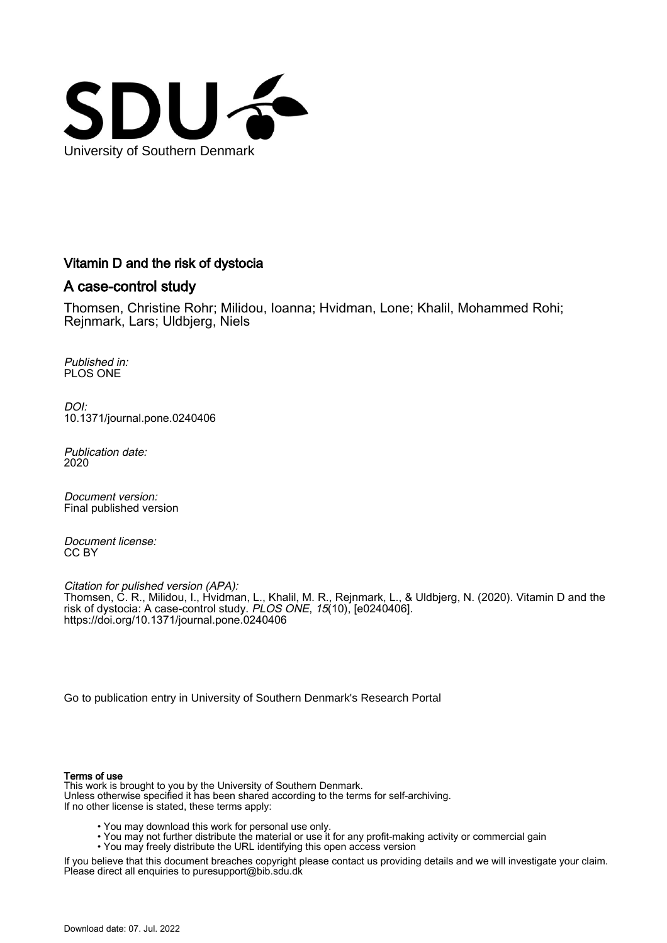

# Vitamin D and the risk of dystocia

# A case-control study

Thomsen, Christine Rohr; Milidou, Ioanna; Hvidman, Lone; Khalil, Mohammed Rohi; Rejnmark, Lars; Uldbjerg, Niels

Published in: PLOS ONE

DOI: [10.1371/journal.pone.0240406](https://doi.org/10.1371/journal.pone.0240406)

Publication date: 2020

Document version: Final published version

Document license: CC BY

Citation for pulished version (APA): Thomsen, C. R., Milidou, I., Hvidman, L., Khalil, M. R., Rejnmark, L., & Uldbjerg, N. (2020). Vitamin D and the risk of dystocia: A case-control study. *PLOS ONE, 15*(10), [e0240406]. <https://doi.org/10.1371/journal.pone.0240406>

[Go to publication entry in University of Southern Denmark's Research Portal](https://portal.findresearcher.sdu.dk/en/publications/34f2f219-48f3-4f46-841d-a91548c5223c)

#### Terms of use

This work is brought to you by the University of Southern Denmark. Unless otherwise specified it has been shared according to the terms for self-archiving. If no other license is stated, these terms apply:

- You may download this work for personal use only.
- You may not further distribute the material or use it for any profit-making activity or commercial gain
- You may freely distribute the URL identifying this open access version

If you believe that this document breaches copyright please contact us providing details and we will investigate your claim. Please direct all enquiries to puresupport@bib.sdu.dk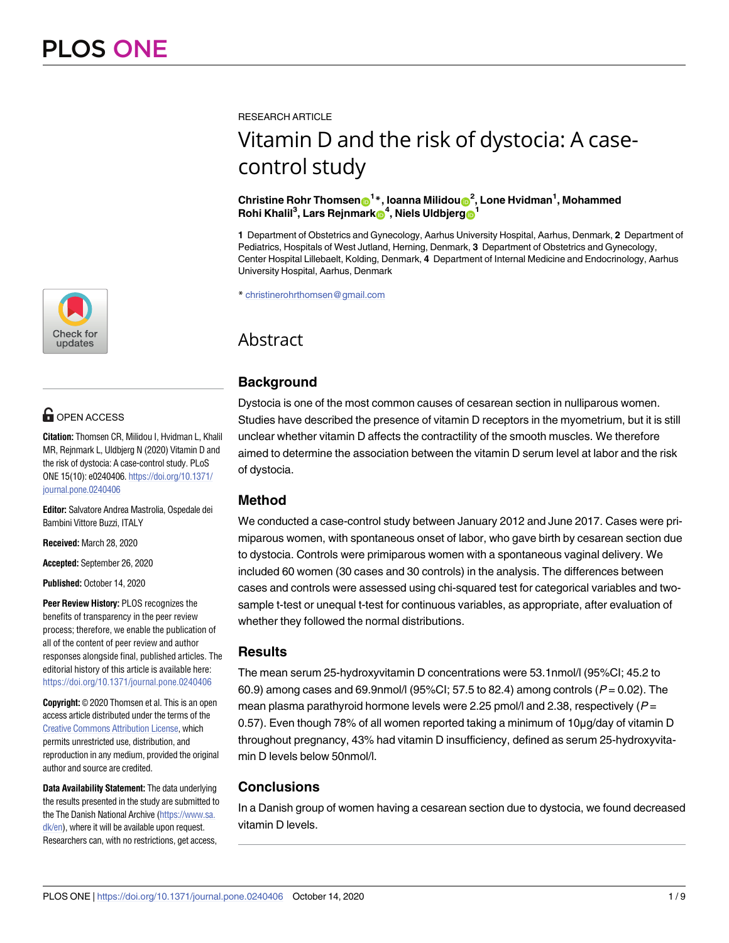

# **OPEN ACCESS**

**Citation:** Thomsen CR, Milidou I, Hvidman L, Khalil MR, Rejnmark L, Uldbjerg N (2020) Vitamin D and the risk of dystocia: A case-control study. PLoS ONE 15(10): e0240406. [https://doi.org/10.1371/](https://doi.org/10.1371/journal.pone.0240406) [journal.pone.0240406](https://doi.org/10.1371/journal.pone.0240406)

**Editor:** Salvatore Andrea Mastrolia, Ospedale dei Bambini Vittore Buzzi, ITALY

**Received:** March 28, 2020

**Accepted:** September 26, 2020

**Published:** October 14, 2020

**Peer Review History:** PLOS recognizes the benefits of transparency in the peer review process; therefore, we enable the publication of all of the content of peer review and author responses alongside final, published articles. The editorial history of this article is available here: <https://doi.org/10.1371/journal.pone.0240406>

**Copyright:** © 2020 Thomsen et al. This is an open access article distributed under the terms of the Creative Commons [Attribution](http://creativecommons.org/licenses/by/4.0/) License, which permits unrestricted use, distribution, and reproduction in any medium, provided the original author and source are credited.

**Data Availability Statement:** The data underlying the results presented in the study are submitted to the The Danish National Archive [\(https://www.sa.](https://www.sa.dk/en) [dk/en](https://www.sa.dk/en)), where it will be available upon request. Researchers can, with no restrictions, get access,

RESEARCH ARTICLE

# Vitamin D and the risk of dystocia: A casecontrol study

#### $\mathbf{C}$ hristine Rohr Thomsen $\mathbf{D}^{1*}$ , Ioanna Milidou $\mathbf{D}^{2}$ , Lone Hvidman<sup>1</sup>, Mohammed  $\mathbf{R}$ ohi Khalil<sup>3</sup>, Lars Rejnmark $\mathbf{B}^4$ , Niels Uldbjerg $\mathbf{B}^1$

**1** Department of Obstetrics and Gynecology, Aarhus University Hospital, Aarhus, Denmark, **2** Department of Pediatrics, Hospitals of West Jutland, Herning, Denmark, **3** Department of Obstetrics and Gynecology, Center Hospital Lillebaelt, Kolding, Denmark, **4** Department of Internal Medicine and Endocrinology, Aarhus University Hospital, Aarhus, Denmark

\* christinerohrthomsen@gmail.com

# Abstract

# **Background**

Dystocia is one of the most common causes of cesarean section in nulliparous women. Studies have described the presence of vitamin D receptors in the myometrium, but it is still unclear whether vitamin D affects the contractility of the smooth muscles. We therefore aimed to determine the association between the vitamin D serum level at labor and the risk of dystocia.

# **Method**

We conducted a case-control study between January 2012 and June 2017. Cases were primiparous women, with spontaneous onset of labor, who gave birth by cesarean section due to dystocia. Controls were primiparous women with a spontaneous vaginal delivery. We included 60 women (30 cases and 30 controls) in the analysis. The differences between cases and controls were assessed using chi-squared test for categorical variables and twosample t-test or unequal t-test for continuous variables, as appropriate, after evaluation of whether they followed the normal distributions.

### **Results**

The mean serum 25-hydroxyvitamin D concentrations were 53.1nmol/l (95%CI; 45.2 to 60.9) among cases and 69.9nmol/l (95%CI; 57.5 to 82.4) among controls  $(P = 0.02)$ . The mean plasma parathyroid hormone levels were 2.25 pmol/l and 2.38, respectively ( $P =$ 0.57). Even though 78% of all women reported taking a minimum of 10μg/day of vitamin D throughout pregnancy, 43% had vitamin D insufficiency, defined as serum 25-hydroxyvitamin D levels below 50nmol/l.

# **Conclusions**

In a Danish group of women having a cesarean section due to dystocia, we found decreased vitamin D levels.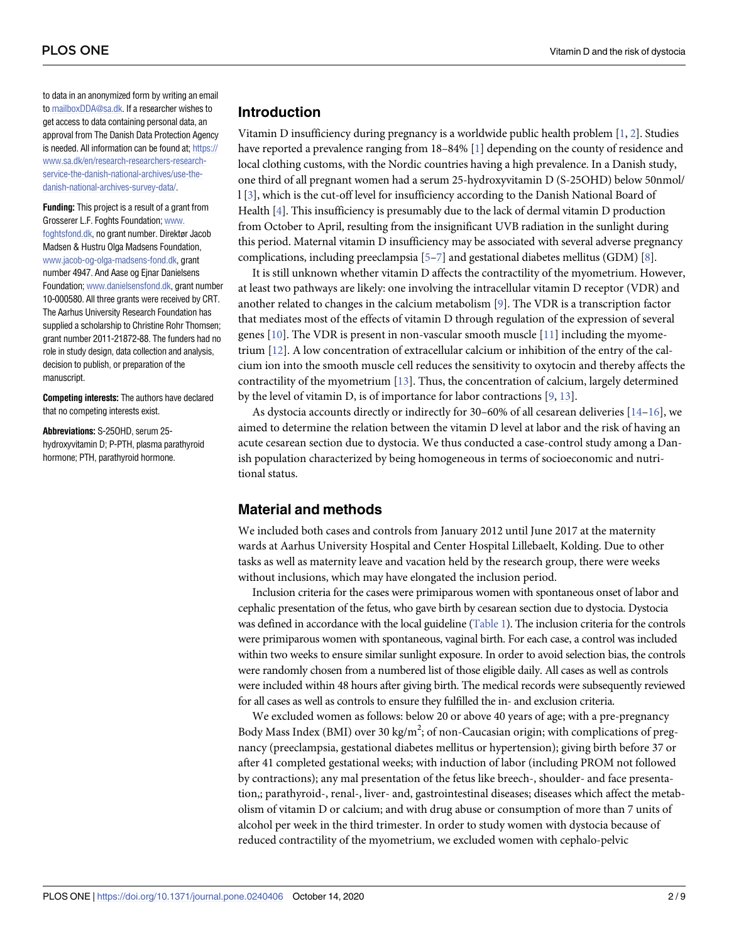<span id="page-2-0"></span>to data in an anonymized form by writing an email to [mailboxDDA@sa.dk.](mailto:mailboxDDA@sa.dk) If a researcher wishes to get access to data containing personal data, an approval from The Danish Data Protection Agency is needed. All information can be found at; [https://](https://www.sa.dk/en/research-researchers-research-service-the-danish-national-archives/use-the-danish-national-archives-survey-data/) [www.sa.dk/en/research-researchers-research](https://www.sa.dk/en/research-researchers-research-service-the-danish-national-archives/use-the-danish-national-archives-survey-data/)[service-the-danish-national-archives/use-the](https://www.sa.dk/en/research-researchers-research-service-the-danish-national-archives/use-the-danish-national-archives-survey-data/)[danish-national-archives-survey-data/.](https://www.sa.dk/en/research-researchers-research-service-the-danish-national-archives/use-the-danish-national-archives-survey-data/)

**Funding:** This project is a result of a grant from Grosserer L.F. Foghts Foundation; [www.](http://www.foghtsfond.dk) [foghtsfond.dk](http://www.foghtsfond.dk), no grant number. Direktør Jacob Madsen & Hustru Olga Madsens Foundation, [www.jacob-og-olga-madsens-fond.dk](http://www.jacob-og-olga-madsens-fond.dk), grant number 4947. And Aase og Ejnar Danielsens Foundation; [www.danielsensfond.dk](http://www.danielsensfond.dk), grant number 10-000580. All three grants were received by CRT. The Aarhus University Research Foundation has supplied a scholarship to Christine Rohr Thomsen; grant number 2011-21872-88. The funders had no role in study design, data collection and analysis, decision to publish, or preparation of the manuscript.

**Competing interests:** The authors have declared that no competing interests exist.

**Abbreviations:** S-25OHD, serum 25 hydroxyvitamin D; P-PTH, plasma parathyroid hormone; PTH, parathyroid hormone.

#### **Introduction**

Vitamin D insufficiency during pregnancy is a worldwide public health problem [\[1](#page-7-0), [2](#page-7-0)]. Studies have reported a prevalence ranging from 18–84% [[1](#page-7-0)] depending on the county of residence and local clothing customs, with the Nordic countries having a high prevalence. In a Danish study, one third of all pregnant women had a serum 25-hydroxyvitamin D (S-25OHD) below 50nmol/ l [\[3\]](#page-7-0), which is the cut-off level for insufficiency according to the Danish National Board of Health [\[4\]](#page-7-0). This insufficiency is presumably due to the lack of dermal vitamin D production from October to April, resulting from the insignificant UVB radiation in the sunlight during this period. Maternal vitamin D insufficiency may be associated with several adverse pregnancy complications, including preeclampsia [[5–](#page-7-0)[7](#page-8-0)] and gestational diabetes mellitus (GDM) [[8](#page-8-0)].

It is still unknown whether vitamin D affects the contractility of the myometrium. However, at least two pathways are likely: one involving the intracellular vitamin D receptor (VDR) and another related to changes in the calcium metabolism [\[9\]](#page-8-0). The VDR is a transcription factor that mediates most of the effects of vitamin D through regulation of the expression of several genes [[10](#page-8-0)]. The VDR is present in non-vascular smooth muscle [\[11\]](#page-8-0) including the myometrium [\[12\]](#page-8-0). A low concentration of extracellular calcium or inhibition of the entry of the calcium ion into the smooth muscle cell reduces the sensitivity to oxytocin and thereby affects the contractility of the myometrium [\[13\]](#page-8-0). Thus, the concentration of calcium, largely determined by the level of vitamin D, is of importance for labor contractions [[9,](#page-8-0) [13\]](#page-8-0).

As dystocia accounts directly or indirectly for 30–60% of all cesarean deliveries [[14](#page-8-0)–[16](#page-8-0)], we aimed to determine the relation between the vitamin D level at labor and the risk of having an acute cesarean section due to dystocia. We thus conducted a case-control study among a Danish population characterized by being homogeneous in terms of socioeconomic and nutritional status.

#### **Material and methods**

We included both cases and controls from January 2012 until June 2017 at the maternity wards at Aarhus University Hospital and Center Hospital Lillebaelt, Kolding. Due to other tasks as well as maternity leave and vacation held by the research group, there were weeks without inclusions, which may have elongated the inclusion period.

Inclusion criteria for the cases were primiparous women with spontaneous onset of labor and cephalic presentation of the fetus, who gave birth by cesarean section due to dystocia. Dystocia was defined in accordance with the local guideline [\(Table](#page-3-0) 1). The inclusion criteria for the controls were primiparous women with spontaneous, vaginal birth. For each case, a control was included within two weeks to ensure similar sunlight exposure. In order to avoid selection bias, the controls were randomly chosen from a numbered list of those eligible daily. All cases as well as controls were included within 48 hours after giving birth. The medical records were subsequently reviewed for all cases as well as controls to ensure they fulfilled the in- and exclusion criteria.

We excluded women as follows: below 20 or above 40 years of age; with a pre-pregnancy Body Mass Index (BMI) over 30 kg/m<sup>2</sup>; of non-Caucasian origin; with complications of pregnancy (preeclampsia, gestational diabetes mellitus or hypertension); giving birth before 37 or after 41 completed gestational weeks; with induction of labor (including PROM not followed by contractions); any mal presentation of the fetus like breech-, shoulder- and face presentation,; parathyroid-, renal-, liver- and, gastrointestinal diseases; diseases which affect the metabolism of vitamin D or calcium; and with drug abuse or consumption of more than 7 units of alcohol per week in the third trimester. In order to study women with dystocia because of reduced contractility of the myometrium, we excluded women with cephalo-pelvic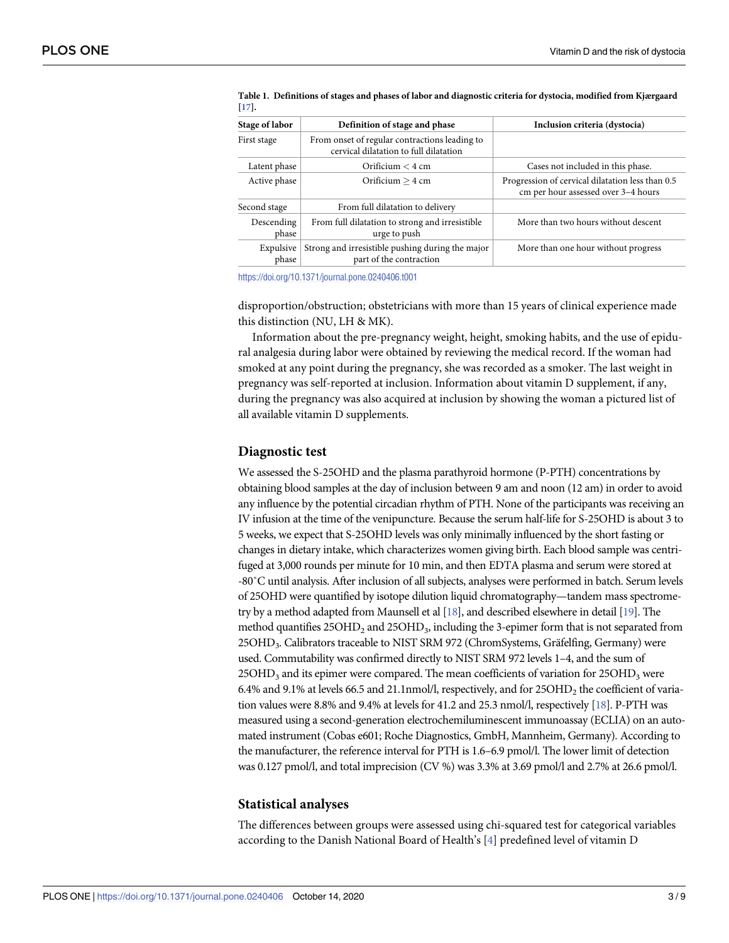| Stage of labor      | Definition of stage and phase                                                           | Inclusion criteria (dystocia)                                                           |
|---------------------|-----------------------------------------------------------------------------------------|-----------------------------------------------------------------------------------------|
| First stage         | From onset of regular contractions leading to<br>cervical dilatation to full dilatation |                                                                                         |
| Latent phase        | Orificium $< 4$ cm                                                                      | Cases not included in this phase.                                                       |
| Active phase        | Orificium $> 4$ cm                                                                      | Progression of cervical dilatation less than 0.5<br>cm per hour assessed over 3-4 hours |
| Second stage        | From full dilatation to delivery                                                        |                                                                                         |
| Descending<br>phase | From full dilatation to strong and irresistible<br>urge to push                         | More than two hours without descent                                                     |
| Expulsive<br>phase  | Strong and irresistible pushing during the major<br>part of the contraction             | More than one hour without progress                                                     |

<span id="page-3-0"></span>[Table](#page-2-0) 1. Definitions of stages and phases of labor and diagnostic criteria for dystocia, modified from Kjærgaard **[[17\]](#page-8-0).**

<https://doi.org/10.1371/journal.pone.0240406.t001>

disproportion/obstruction; obstetricians with more than 15 years of clinical experience made this distinction (NU, LH & MK).

Information about the pre-pregnancy weight, height, smoking habits, and the use of epidural analgesia during labor were obtained by reviewing the medical record. If the woman had smoked at any point during the pregnancy, she was recorded as a smoker. The last weight in pregnancy was self-reported at inclusion. Information about vitamin D supplement, if any, during the pregnancy was also acquired at inclusion by showing the woman a pictured list of all available vitamin D supplements.

#### **Diagnostic test**

We assessed the S-25OHD and the plasma parathyroid hormone (P-PTH) concentrations by obtaining blood samples at the day of inclusion between 9 am and noon (12 am) in order to avoid any influence by the potential circadian rhythm of PTH. None of the participants was receiving an IV infusion at the time of the venipuncture. Because the serum half-life for S-25OHD is about 3 to 5 weeks, we expect that S-25OHD levels was only minimally influenced by the short fasting or changes in dietary intake, which characterizes women giving birth. Each blood sample was centrifuged at 3,000 rounds per minute for 10 min, and then EDTA plasma and serum were stored at -80˚C until analysis. After inclusion of all subjects, analyses were performed in batch. Serum levels of 25OHD were quantified by isotope dilution liquid chromatography—tandem mass spectrometry by a method adapted from Maunsell et al [\[18](#page-8-0)], and described elsewhere in detail [\[19](#page-8-0)]. The method quantifies 25OHD<sub>2</sub> and 25OHD<sub>3</sub>, including the 3-epimer form that is not separated from 25OHD<sub>3</sub>. Calibrators traceable to NIST SRM 972 (ChromSystems, Gräfelfing, Germany) were used. Commutability was confirmed directly to NIST SRM 972 levels 1–4, and the sum of 25OHD<sub>3</sub> and its epimer were compared. The mean coefficients of variation for 25OHD<sub>3</sub> were 6.4% and 9.1% at levels 66.5 and 21.1 nmol/l, respectively, and for  $25OHD<sub>2</sub>$  the coefficient of variation values were 8.8% and 9.4% at levels for 41.2 and 25.3 nmol/l, respectively [\[18](#page-8-0)]. P-PTH was measured using a second-generation electrochemiluminescent immunoassay (ECLIA) on an automated instrument (Cobas e601; Roche Diagnostics, GmbH, Mannheim, Germany). According to the manufacturer, the reference interval for PTH is 1.6–6.9 pmol/l. The lower limit of detection was 0.127 pmol/l, and total imprecision (CV %) was 3.3% at 3.69 pmol/l and 2.7% at 26.6 pmol/l.

#### **Statistical analyses**

The differences between groups were assessed using chi-squared test for categorical variables according to the Danish National Board of Health's [[4](#page-7-0)] predefined level of vitamin D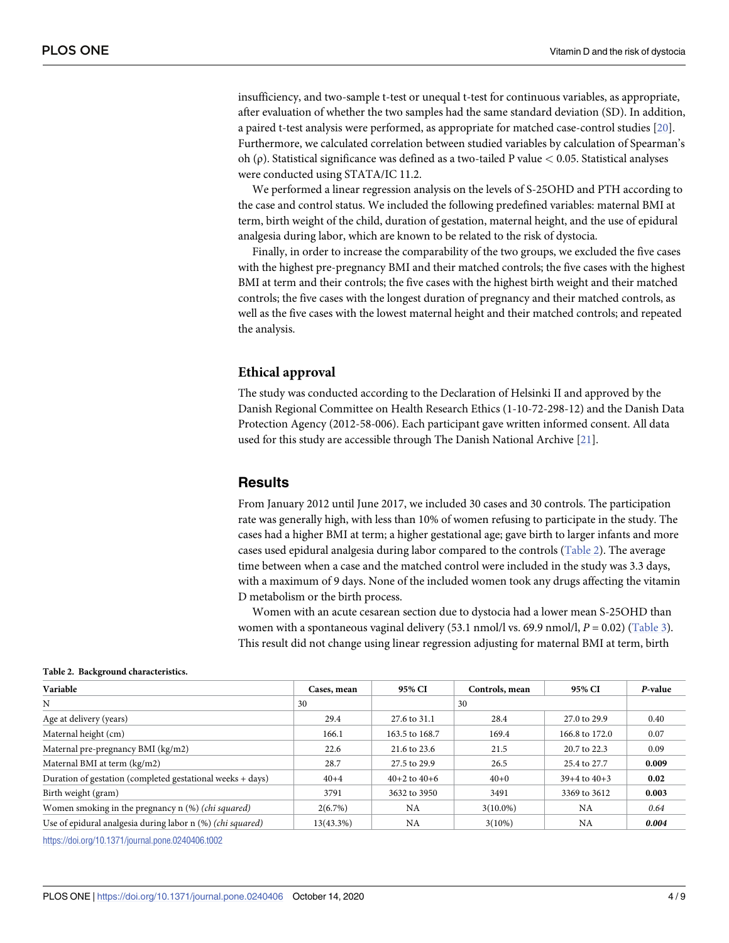<span id="page-4-0"></span>insufficiency, and two-sample t-test or unequal t-test for continuous variables, as appropriate, after evaluation of whether the two samples had the same standard deviation (SD). In addition, a paired t-test analysis were performed, as appropriate for matched case-control studies [\[20\]](#page-8-0). Furthermore, we calculated correlation between studied variables by calculation of Spearman's oh (ρ). Statistical significance was defined as a two-tailed P value *<* 0.05. Statistical analyses were conducted using STATA/IC 11.2.

We performed a linear regression analysis on the levels of S-25OHD and PTH according to the case and control status. We included the following predefined variables: maternal BMI at term, birth weight of the child, duration of gestation, maternal height, and the use of epidural analgesia during labor, which are known to be related to the risk of dystocia.

Finally, in order to increase the comparability of the two groups, we excluded the five cases with the highest pre-pregnancy BMI and their matched controls; the five cases with the highest BMI at term and their controls; the five cases with the highest birth weight and their matched controls; the five cases with the longest duration of pregnancy and their matched controls, as well as the five cases with the lowest maternal height and their matched controls; and repeated the analysis.

#### **Ethical approval**

The study was conducted according to the Declaration of Helsinki II and approved by the Danish Regional Committee on Health Research Ethics (1-10-72-298-12) and the Danish Data Protection Agency (2012-58-006). Each participant gave written informed consent. All data used for this study are accessible through The Danish National Archive [[21](#page-8-0)].

#### **Results**

From January 2012 until June 2017, we included 30 cases and 30 controls. The participation rate was generally high, with less than 10% of women refusing to participate in the study. The cases had a higher BMI at term; a higher gestational age; gave birth to larger infants and more cases used epidural analgesia during labor compared to the controls (Table 2). The average time between when a case and the matched control were included in the study was 3.3 days, with a maximum of 9 days. None of the included women took any drugs affecting the vitamin D metabolism or the birth process.

Women with an acute cesarean section due to dystocia had a lower mean S-25OHD than women with a spontaneous vaginal delivery (53.1 nmol/l vs. 69.9 nmol/l,  $P = 0.02$ ) ([Table](#page-5-0) 3). This result did not change using linear regression adjusting for maternal BMI at term, birth

| Variable                                                            | Cases, mean | 95% CI           | Controls, mean | 95% CI           | P-value |
|---------------------------------------------------------------------|-------------|------------------|----------------|------------------|---------|
| N                                                                   | 30          |                  | 30             |                  |         |
| Age at delivery (years)                                             | 29.4        | 27.6 to 31.1     | 28.4           | 27.0 to 29.9     | 0.40    |
| Maternal height (cm)                                                | 166.1       | 163.5 to 168.7   | 169.4          | 166.8 to 172.0   | 0.07    |
| Maternal pre-pregnancy BMI (kg/m2)                                  | 22.6        | 21.6 to 23.6     | 21.5           | 20.7 to 22.3     | 0.09    |
| Maternal BMI at term (kg/m2)                                        | 28.7        | 27.5 to 29.9     | 26.5           | 25.4 to 27.7     | 0.009   |
| Duration of gestation (completed gestational weeks + days)          | $40 + 4$    | $40+2$ to $40+6$ | $40+0$         | $39+4$ to $40+3$ | 0.02    |
| Birth weight (gram)                                                 | 3791        | 3632 to 3950     | 3491           | 3369 to 3612     | 0.003   |
| Women smoking in the pregnancy n (%) ( <i>chi squared</i> )         | 2(6.7%)     | <b>NA</b>        | $3(10.0\%)$    | <b>NA</b>        | 0.64    |
| Use of epidural analgesia during labor n (%) ( <i>chi squared</i> ) | 13(43.3%)   | <b>NA</b>        | $3(10\%)$      | <b>NA</b>        | 0.004   |
|                                                                     |             |                  |                |                  |         |

#### **Table 2. Background characteristics.**

<https://doi.org/10.1371/journal.pone.0240406.t002>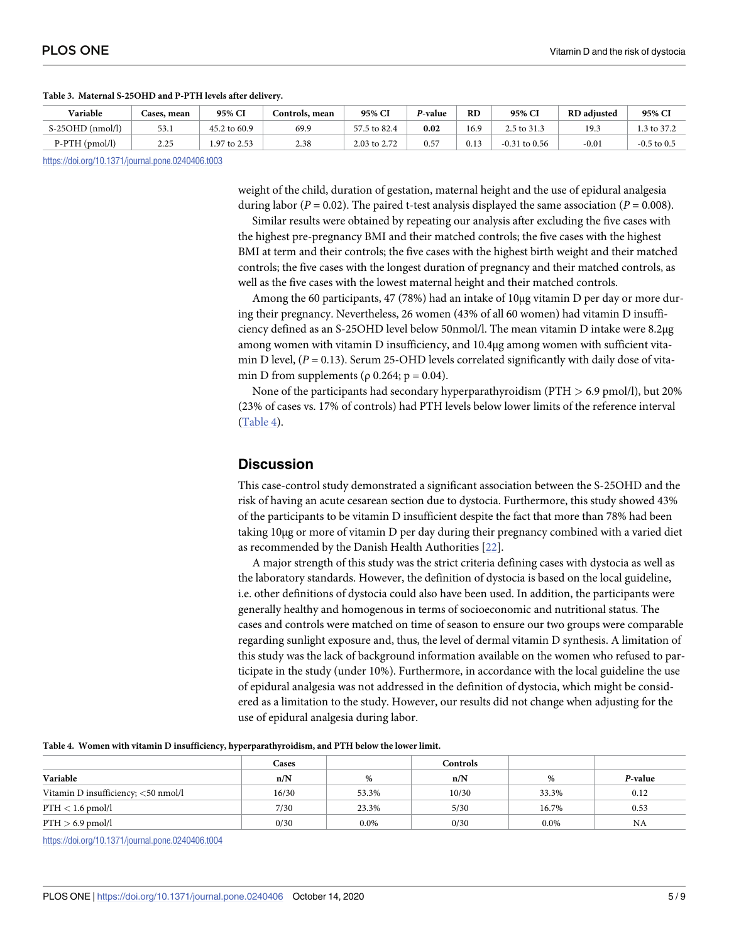| Variable                  | <b>Cases, mean</b> | 95% CI         | Controls, mean | 95% CI               | P-value | RD   | 95% CI          | <b>RD</b> adjusted | 95% CI        |
|---------------------------|--------------------|----------------|----------------|----------------------|---------|------|-----------------|--------------------|---------------|
| 1/1<br>$S-25OHD$ (nmol/l) | 53.1               | to 60.9<br>152 | 69.9           | . .5 to 82.4<br>-- - | 0.02    | 16.9 | 2.5 to 31.3     | 19.3               | 3 to $37.2$   |
| $P-PTH$ (pmol/l)          | 2.25               | .97 to 2.53    | 2.38           | 2.03 to 2.72         | 0.57    | 0.13 | $-0.31$ to 0.56 | $-0.01$            | $-0.5$ to 0.5 |

#### <span id="page-5-0"></span>**[Table](#page-4-0) 3. Maternal S-25OHD and P-PTH levels after delivery.**

<https://doi.org/10.1371/journal.pone.0240406.t003>

weight of the child, duration of gestation, maternal height and the use of epidural analgesia during labor ( $P = 0.02$ ). The paired t-test analysis displayed the same association ( $P = 0.008$ ).

Similar results were obtained by repeating our analysis after excluding the five cases with the highest pre-pregnancy BMI and their matched controls; the five cases with the highest BMI at term and their controls; the five cases with the highest birth weight and their matched controls; the five cases with the longest duration of pregnancy and their matched controls, as well as the five cases with the lowest maternal height and their matched controls.

Among the 60 participants, 47 (78%) had an intake of 10μg vitamin D per day or more during their pregnancy. Nevertheless, 26 women (43% of all 60 women) had vitamin D insufficiency defined as an S-25OHD level below 50nmol/l. The mean vitamin D intake were 8.2μg among women with vitamin D insufficiency, and 10.4μg among women with sufficient vitamin D level, (*P* = 0.13). Serum 25-OHD levels correlated significantly with daily dose of vitamin D from supplements ( $\rho$  0.264;  $p = 0.04$ ).

None of the participants had secondary hyperparathyroidism (PTH *>* 6.9 pmol/l), but 20% (23% of cases vs. 17% of controls) had PTH levels below lower limits of the reference interval (Table 4).

#### **Discussion**

This case-control study demonstrated a significant association between the S-25OHD and the risk of having an acute cesarean section due to dystocia. Furthermore, this study showed 43% of the participants to be vitamin D insufficient despite the fact that more than 78% had been taking 10μg or more of vitamin D per day during their pregnancy combined with a varied diet as recommended by the Danish Health Authorities [\[22\]](#page-8-0).

A major strength of this study was the strict criteria defining cases with dystocia as well as the laboratory standards. However, the definition of dystocia is based on the local guideline, i.e. other definitions of dystocia could also have been used. In addition, the participants were generally healthy and homogenous in terms of socioeconomic and nutritional status. The cases and controls were matched on time of season to ensure our two groups were comparable regarding sunlight exposure and, thus, the level of dermal vitamin D synthesis. A limitation of this study was the lack of background information available on the women who refused to participate in the study (under 10%). Furthermore, in accordance with the local guideline the use of epidural analgesia was not addressed in the definition of dystocia, which might be considered as a limitation to the study. However, our results did not change when adjusting for the use of epidural analgesia during labor.

| Table 4. Women with vitamin D insufficiency, hyperparathyroidism, and PTH below the lower limit. |  |  |
|--------------------------------------------------------------------------------------------------|--|--|
|                                                                                                  |  |  |

|                                     | Cases |         | <b>Controls</b> |         |         |
|-------------------------------------|-------|---------|-----------------|---------|---------|
| Variable                            | n/N   | %       | n/N             | %       | P-value |
| Vitamin D insufficiency; <50 nmol/l | 16/30 | 53.3%   | 10/30           | 33.3%   | 0.12    |
| $PTH < 1.6$ pmol/l                  | 7/30  | 23.3%   | 5/30            | 16.7%   | 0.53    |
| $PTH > 6.9$ pmol/l                  | 0/30  | $0.0\%$ | 0/30            | $0.0\%$ | NA      |

<https://doi.org/10.1371/journal.pone.0240406.t004>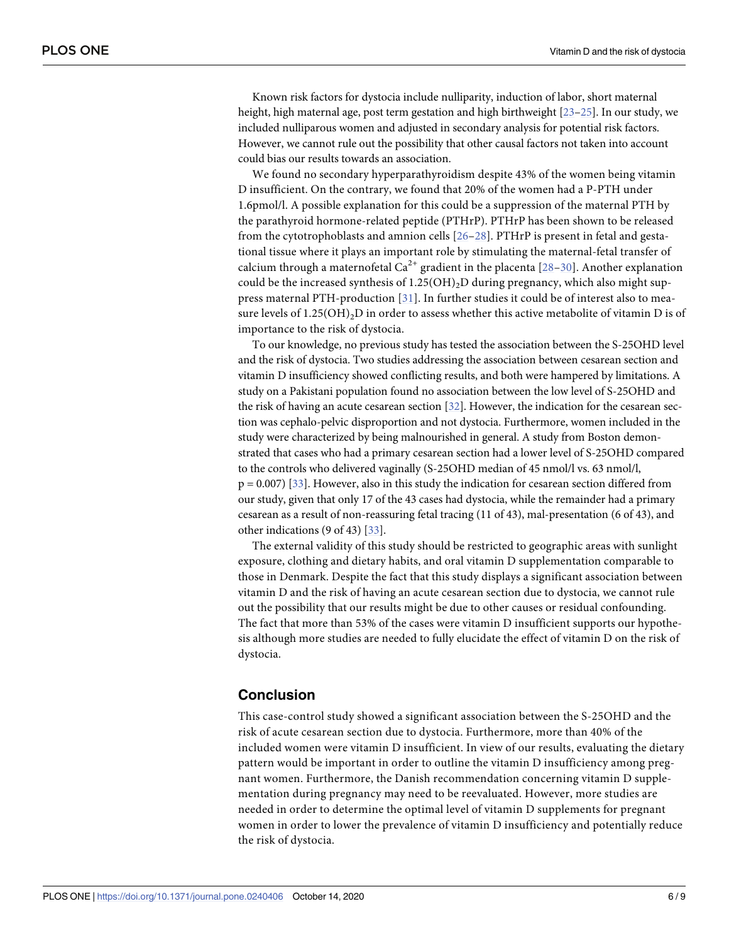<span id="page-6-0"></span>Known risk factors for dystocia include nulliparity, induction of labor, short maternal height, high maternal age, post term gestation and high birthweight [\[23–25](#page-8-0)]. In our study, we included nulliparous women and adjusted in secondary analysis for potential risk factors. However, we cannot rule out the possibility that other causal factors not taken into account could bias our results towards an association.

We found no secondary hyperparathyroidism despite 43% of the women being vitamin D insufficient. On the contrary, we found that 20% of the women had a P-PTH under 1.6pmol/l. A possible explanation for this could be a suppression of the maternal PTH by the parathyroid hormone-related peptide (PTHrP). PTHrP has been shown to be released from the cytotrophoblasts and amnion cells [[26–](#page-8-0)[28\]](#page-9-0). PTHrP is present in fetal and gestational tissue where it plays an important role by stimulating the maternal-fetal transfer of calcium through a maternofetal  $Ca^{2+}$  gradient in the placenta [[28](#page-9-0)–[30\]](#page-9-0). Another explanation could be the increased synthesis of  $1.25(OH)_{2}D$  during pregnancy, which also might suppress maternal PTH-production [[31\]](#page-9-0). In further studies it could be of interest also to measure levels of  $1.25(OH)_2D$  in order to assess whether this active metabolite of vitamin D is of importance to the risk of dystocia.

To our knowledge, no previous study has tested the association between the S-25OHD level and the risk of dystocia. Two studies addressing the association between cesarean section and vitamin D insufficiency showed conflicting results, and both were hampered by limitations. A study on a Pakistani population found no association between the low level of S-25OHD and the risk of having an acute cesarean section [[32](#page-9-0)]. However, the indication for the cesarean section was cephalo-pelvic disproportion and not dystocia. Furthermore, women included in the study were characterized by being malnourished in general. A study from Boston demonstrated that cases who had a primary cesarean section had a lower level of S-25OHD compared to the controls who delivered vaginally (S-25OHD median of 45 nmol/l vs. 63 nmol/l,  $p = 0.007$  [[33](#page-9-0)]. However, also in this study the indication for cesarean section differed from our study, given that only 17 of the 43 cases had dystocia, while the remainder had a primary cesarean as a result of non-reassuring fetal tracing (11 of 43), mal-presentation (6 of 43), and other indications (9 of 43) [\[33\]](#page-9-0).

The external validity of this study should be restricted to geographic areas with sunlight exposure, clothing and dietary habits, and oral vitamin D supplementation comparable to those in Denmark. Despite the fact that this study displays a significant association between vitamin D and the risk of having an acute cesarean section due to dystocia, we cannot rule out the possibility that our results might be due to other causes or residual confounding. The fact that more than 53% of the cases were vitamin D insufficient supports our hypothesis although more studies are needed to fully elucidate the effect of vitamin D on the risk of dystocia.

#### **Conclusion**

This case-control study showed a significant association between the S-25OHD and the risk of acute cesarean section due to dystocia. Furthermore, more than 40% of the included women were vitamin D insufficient. In view of our results, evaluating the dietary pattern would be important in order to outline the vitamin D insufficiency among pregnant women. Furthermore, the Danish recommendation concerning vitamin D supplementation during pregnancy may need to be reevaluated. However, more studies are needed in order to determine the optimal level of vitamin D supplements for pregnant women in order to lower the prevalence of vitamin D insufficiency and potentially reduce the risk of dystocia.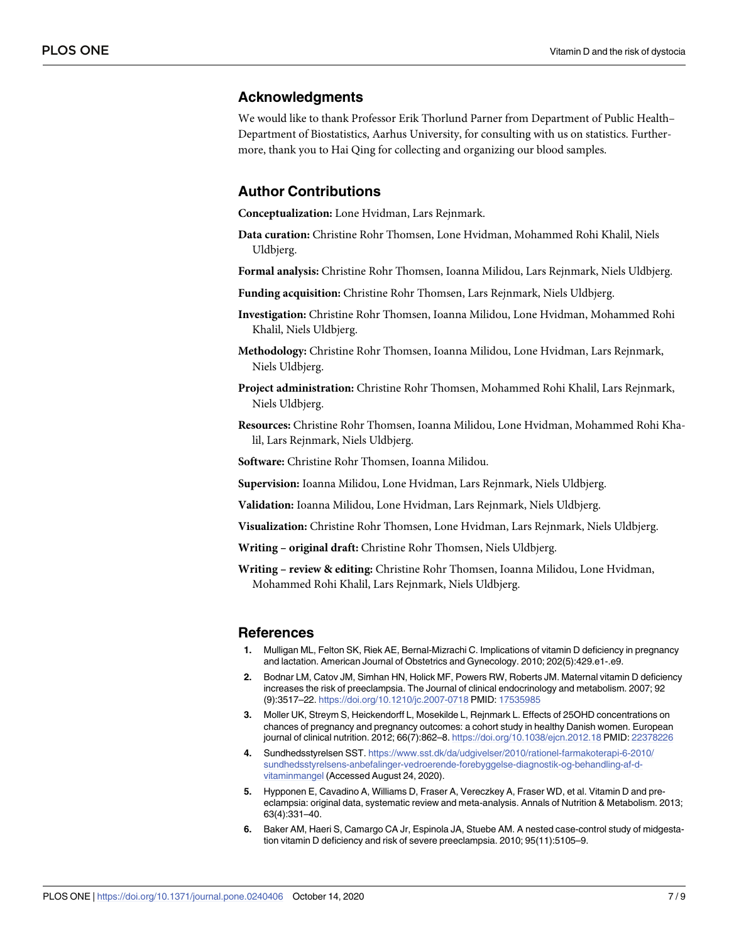#### <span id="page-7-0"></span>**Acknowledgments**

We would like to thank Professor Erik Thorlund Parner from Department of Public Health– Department of Biostatistics, Aarhus University, for consulting with us on statistics. Furthermore, thank you to Hai Qing for collecting and organizing our blood samples.

#### **Author Contributions**

**Conceptualization:** Lone Hvidman, Lars Rejnmark.

**Data curation:** Christine Rohr Thomsen, Lone Hvidman, Mohammed Rohi Khalil, Niels Uldbjerg.

**Formal analysis:** Christine Rohr Thomsen, Ioanna Milidou, Lars Rejnmark, Niels Uldbjerg.

**Funding acquisition:** Christine Rohr Thomsen, Lars Rejnmark, Niels Uldbjerg.

- **Investigation:** Christine Rohr Thomsen, Ioanna Milidou, Lone Hvidman, Mohammed Rohi Khalil, Niels Uldbjerg.
- **Methodology:** Christine Rohr Thomsen, Ioanna Milidou, Lone Hvidman, Lars Rejnmark, Niels Uldbjerg.
- **Project administration:** Christine Rohr Thomsen, Mohammed Rohi Khalil, Lars Rejnmark, Niels Uldbjerg.
- **Resources:** Christine Rohr Thomsen, Ioanna Milidou, Lone Hvidman, Mohammed Rohi Khalil, Lars Rejnmark, Niels Uldbjerg.

**Software:** Christine Rohr Thomsen, Ioanna Milidou.

**Supervision:** Ioanna Milidou, Lone Hvidman, Lars Rejnmark, Niels Uldbjerg.

**Validation:** Ioanna Milidou, Lone Hvidman, Lars Rejnmark, Niels Uldbjerg.

**Visualization:** Christine Rohr Thomsen, Lone Hvidman, Lars Rejnmark, Niels Uldbjerg.

**Writing – original draft:** Christine Rohr Thomsen, Niels Uldbjerg.

**Writing – review & editing:** Christine Rohr Thomsen, Ioanna Milidou, Lone Hvidman, Mohammed Rohi Khalil, Lars Rejnmark, Niels Uldbjerg.

#### **References**

- **[1](#page-2-0).** Mulligan ML, Felton SK, Riek AE, Bernal-Mizrachi C. Implications of vitamin D deficiency in pregnancy and lactation. American Journal of Obstetrics and Gynecology. 2010; 202(5):429.e1-.e9.
- **[2](#page-2-0).** Bodnar LM, Catov JM, Simhan HN, Holick MF, Powers RW, Roberts JM. Maternal vitamin D deficiency increases the risk of preeclampsia. The Journal of clinical endocrinology and metabolism. 2007; 92 (9):3517–22. <https://doi.org/10.1210/jc.2007-0718> PMID: [17535985](http://www.ncbi.nlm.nih.gov/pubmed/17535985)
- **[3](#page-2-0).** Moller UK, Streym S, Heickendorff L, Mosekilde L, Rejnmark L. Effects of 25OHD concentrations on chances of pregnancy and pregnancy outcomes: a cohort study in healthy Danish women. European journal of clinical nutrition. 2012; 66(7):862–8. <https://doi.org/10.1038/ejcn.2012.18> PMID: [22378226](http://www.ncbi.nlm.nih.gov/pubmed/22378226)
- **[4](#page-2-0).** Sundhedsstyrelsen SST. [https://www.sst.dk/da/udgivelser/2010/rationel-farmakoterapi-6-2010/](https://www.sst.dk/da/udgivelser/2010/rationel-farmakoterapi-6-2010/sundhedsstyrelsens-anbefalinger-vedroerende-forebyggelse-diagnostik-og-behandling-af-d-vitaminmangel) [sundhedsstyrelsens-anbefalinger-vedroerende-forebyggelse-diagnostik-og-behandling-af-d](https://www.sst.dk/da/udgivelser/2010/rationel-farmakoterapi-6-2010/sundhedsstyrelsens-anbefalinger-vedroerende-forebyggelse-diagnostik-og-behandling-af-d-vitaminmangel)[vitaminmangel](https://www.sst.dk/da/udgivelser/2010/rationel-farmakoterapi-6-2010/sundhedsstyrelsens-anbefalinger-vedroerende-forebyggelse-diagnostik-og-behandling-af-d-vitaminmangel) (Accessed August 24, 2020).
- **[5](#page-2-0).** Hypponen E, Cavadino A, Williams D, Fraser A, Vereczkey A, Fraser WD, et al. Vitamin D and preeclampsia: original data, systematic review and meta-analysis. Annals of Nutrition & Metabolism. 2013; 63(4):331–40.
- **6.** Baker AM, Haeri S, Camargo CA Jr, Espinola JA, Stuebe AM. A nested case-control study of midgestation vitamin D deficiency and risk of severe preeclampsia. 2010; 95(11):5105–9.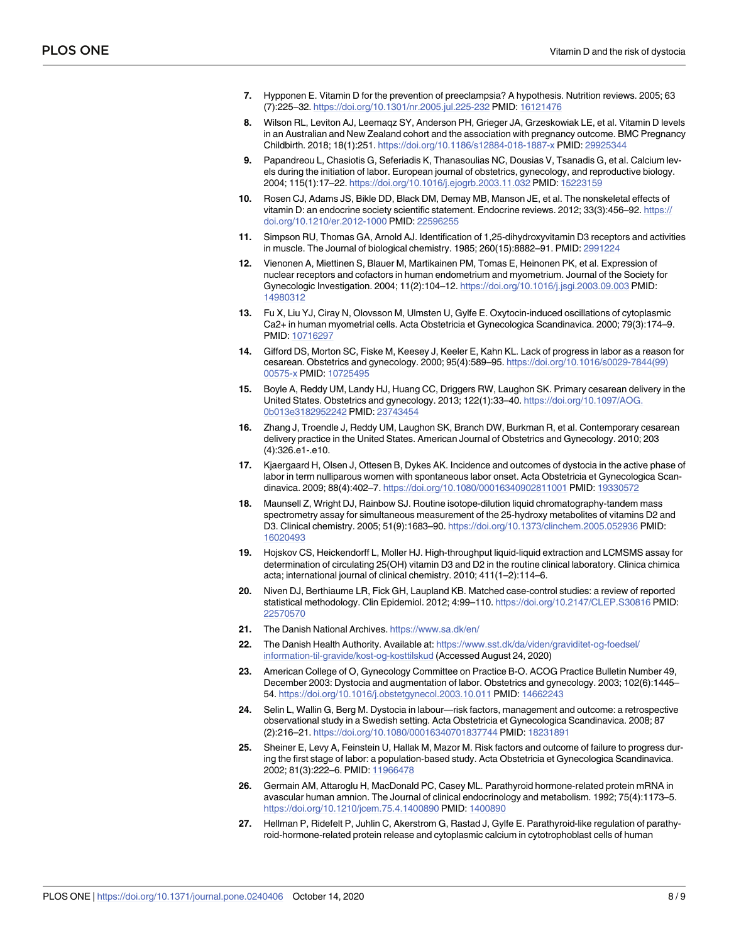- <span id="page-8-0"></span>**[7](#page-2-0).** Hypponen E. Vitamin D for the prevention of preeclampsia? A hypothesis. Nutrition reviews. 2005; 63 (7):225–32. <https://doi.org/10.1301/nr.2005.jul.225-232> PMID: [16121476](http://www.ncbi.nlm.nih.gov/pubmed/16121476)
- **[8](#page-2-0).** Wilson RL, Leviton AJ, Leemaqz SY, Anderson PH, Grieger JA, Grzeskowiak LE, et al. Vitamin D levels in an Australian and New Zealand cohort and the association with pregnancy outcome. BMC Pregnancy Childbirth. 2018; 18(1):251. <https://doi.org/10.1186/s12884-018-1887-x> PMID: [29925344](http://www.ncbi.nlm.nih.gov/pubmed/29925344)
- **[9](#page-2-0).** Papandreou L, Chasiotis G, Seferiadis K, Thanasoulias NC, Dousias V, Tsanadis G, et al. Calcium levels during the initiation of labor. European journal of obstetrics, gynecology, and reproductive biology. 2004; 115(1):17–22. <https://doi.org/10.1016/j.ejogrb.2003.11.032> PMID: [15223159](http://www.ncbi.nlm.nih.gov/pubmed/15223159)
- **[10](#page-2-0).** Rosen CJ, Adams JS, Bikle DD, Black DM, Demay MB, Manson JE, et al. The nonskeletal effects of vitamin D: an endocrine society scientific statement. Endocrine reviews. 2012; 33(3):456–92. [https://](https://doi.org/10.1210/er.2012-1000) [doi.org/10.1210/er.2012-1000](https://doi.org/10.1210/er.2012-1000) PMID: [22596255](http://www.ncbi.nlm.nih.gov/pubmed/22596255)
- **[11](#page-2-0).** Simpson RU, Thomas GA, Arnold AJ. Identification of 1,25-dihydroxyvitamin D3 receptors and activities in muscle. The Journal of biological chemistry. 1985; 260(15):8882–91. PMID: [2991224](http://www.ncbi.nlm.nih.gov/pubmed/2991224)
- **[12](#page-2-0).** Vienonen A, Miettinen S, Blauer M, Martikainen PM, Tomas E, Heinonen PK, et al. Expression of nuclear receptors and cofactors in human endometrium and myometrium. Journal of the Society for Gynecologic Investigation. 2004; 11(2):104–12. <https://doi.org/10.1016/j.jsgi.2003.09.003> PMID: [14980312](http://www.ncbi.nlm.nih.gov/pubmed/14980312)
- **[13](#page-2-0).** Fu X, Liu YJ, Ciray N, Olovsson M, Ulmsten U, Gylfe E. Oxytocin-induced oscillations of cytoplasmic Ca2+ in human myometrial cells. Acta Obstetricia et Gynecologica Scandinavica. 2000; 79(3):174–9. PMID: [10716297](http://www.ncbi.nlm.nih.gov/pubmed/10716297)
- **[14](#page-2-0).** Gifford DS, Morton SC, Fiske M, Keesey J, Keeler E, Kahn KL. Lack of progress in labor as a reason for cesarean. Obstetrics and gynecology. 2000; 95(4):589–95. [https://doi.org/10.1016/s0029-7844\(99\)](https://doi.org/10.1016/s0029-7844(99)00575-x) [00575-x](https://doi.org/10.1016/s0029-7844(99)00575-x) PMID: [10725495](http://www.ncbi.nlm.nih.gov/pubmed/10725495)
- **15.** Boyle A, Reddy UM, Landy HJ, Huang CC, Driggers RW, Laughon SK. Primary cesarean delivery in the United States. Obstetrics and gynecology. 2013; 122(1):33–40. [https://doi.org/10.1097/AOG.](https://doi.org/10.1097/AOG.0b013e3182952242) [0b013e3182952242](https://doi.org/10.1097/AOG.0b013e3182952242) PMID: [23743454](http://www.ncbi.nlm.nih.gov/pubmed/23743454)
- **[16](#page-2-0).** Zhang J, Troendle J, Reddy UM, Laughon SK, Branch DW, Burkman R, et al. Contemporary cesarean delivery practice in the United States. American Journal of Obstetrics and Gynecology. 2010; 203 (4):326.e1-.e10.
- **[17](#page-3-0).** Kjaergaard H, Olsen J, Ottesen B, Dykes AK. Incidence and outcomes of dystocia in the active phase of labor in term nulliparous women with spontaneous labor onset. Acta Obstetricia et Gynecologica Scandinavica. 2009; 88(4):402–7. <https://doi.org/10.1080/00016340902811001> PMID: [19330572](http://www.ncbi.nlm.nih.gov/pubmed/19330572)
- **[18](#page-3-0).** Maunsell Z, Wright DJ, Rainbow SJ. Routine isotope-dilution liquid chromatography-tandem mass spectrometry assay for simultaneous measurement of the 25-hydroxy metabolites of vitamins D2 and D3. Clinical chemistry. 2005; 51(9):1683–90. <https://doi.org/10.1373/clinchem.2005.052936> PMID: [16020493](http://www.ncbi.nlm.nih.gov/pubmed/16020493)
- **[19](#page-3-0).** Hojskov CS, Heickendorff L, Moller HJ. High-throughput liquid-liquid extraction and LCMSMS assay for determination of circulating 25(OH) vitamin D3 and D2 in the routine clinical laboratory. Clinica chimica acta; international journal of clinical chemistry. 2010; 411(1–2):114–6.
- **[20](#page-4-0).** Niven DJ, Berthiaume LR, Fick GH, Laupland KB. Matched case-control studies: a review of reported statistical methodology. Clin Epidemiol. 2012; 4:99–110. <https://doi.org/10.2147/CLEP.S30816> PMID: [22570570](http://www.ncbi.nlm.nih.gov/pubmed/22570570)
- **[21](#page-4-0).** The Danish National Archives. <https://www.sa.dk/en/>
- **[22](#page-5-0).** The Danish Health Authority. Available at: [https://www.sst.dk/da/viden/graviditet-og-foedsel/](https://www.sst.dk/da/viden/graviditet-og-foedsel/information-til-gravide/kost-og-kosttilskud) [information-til-gravide/kost-og-kosttilskud](https://www.sst.dk/da/viden/graviditet-og-foedsel/information-til-gravide/kost-og-kosttilskud) (Accessed August 24, 2020)
- **[23](#page-6-0).** American College of O, Gynecology Committee on Practice B-O. ACOG Practice Bulletin Number 49, December 2003: Dystocia and augmentation of labor. Obstetrics and gynecology. 2003; 102(6):1445– 54. <https://doi.org/10.1016/j.obstetgynecol.2003.10.011> PMID: [14662243](http://www.ncbi.nlm.nih.gov/pubmed/14662243)
- **24.** Selin L, Wallin G, Berg M. Dystocia in labour—risk factors, management and outcome: a retrospective observational study in a Swedish setting. Acta Obstetricia et Gynecologica Scandinavica. 2008; 87 (2):216–21. <https://doi.org/10.1080/00016340701837744> PMID: [18231891](http://www.ncbi.nlm.nih.gov/pubmed/18231891)
- **[25](#page-6-0).** Sheiner E, Levy A, Feinstein U, Hallak M, Mazor M. Risk factors and outcome of failure to progress during the first stage of labor: a population-based study. Acta Obstetricia et Gynecologica Scandinavica. 2002; 81(3):222–6. PMID: [11966478](http://www.ncbi.nlm.nih.gov/pubmed/11966478)
- **[26](#page-6-0).** Germain AM, Attaroglu H, MacDonald PC, Casey ML. Parathyroid hormone-related protein mRNA in avascular human amnion. The Journal of clinical endocrinology and metabolism. 1992; 75(4):1173–5. <https://doi.org/10.1210/jcem.75.4.1400890> PMID: [1400890](http://www.ncbi.nlm.nih.gov/pubmed/1400890)
- **27.** Hellman P, Ridefelt P, Juhlin C, Akerstrom G, Rastad J, Gylfe E. Parathyroid-like regulation of parathyroid-hormone-related protein release and cytoplasmic calcium in cytotrophoblast cells of human